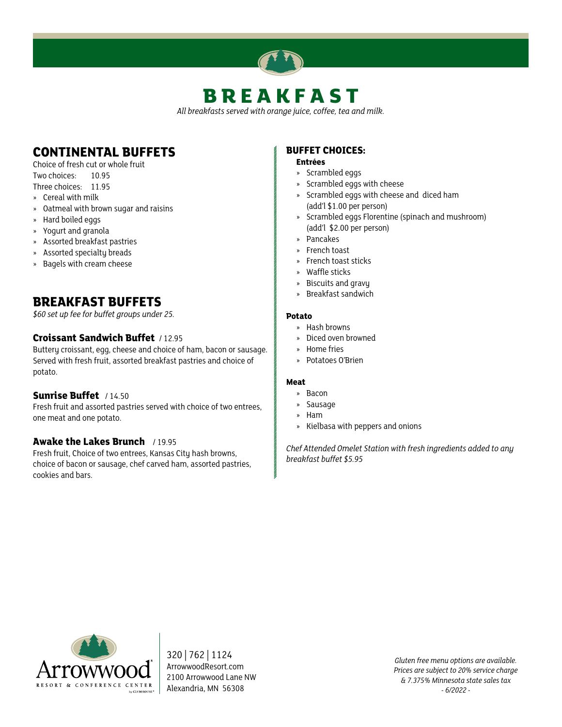# **BREAKFAST**

*All breakfasts served with orange juice, coffee, tea and milk.*

# **CONTINENTAL BUFFETS**

Choice of fresh cut or whole fruit Two choices: 10.95

Three choices: 11.95

- » Cereal with milk
- » Oatmeal with brown sugar and raisins
- » Hard boiled eggs
- » Yogurt and granola
- » Assorted breakfast pastries
- » Assorted specialty breads
- » Bagels with cream cheese

# **BREAKFAST BUFFETS**

*\$60 set up fee for buffet groups under 25.*

# **Croissant Sandwich Buffet** / 12.95

Buttery croissant, egg, cheese and choice of ham, bacon or sausage. Served with fresh fruit, assorted breakfast pastries and choice of potato.

# **Sunrise Buffet** / 14.50

Fresh fruit and assorted pastries served with choice of two entrees, one meat and one potato.

# **Awake the Lakes Brunch** / 19.95

Fresh fruit, Choice of two entrees, Kansas City hash browns, choice of bacon or sausage, chef carved ham, assorted pastries, cookies and bars.

# **BUFFET CHOICES:**

#### **Entrées**

- » Scrambled eggs
- » Scrambled eggs with cheese
- » Scrambled eggs with cheese and diced ham (add'l \$1.00 per person)
- » Scrambled eggs Florentine (spinach and mushroom) (add'l \$2.00 per person)
- » Pancakes
- » French toast
- » French toast sticks
- » Waffle sticks
- » Biscuits and gravy
- » Breakfast sandwich

### **Potato**

- » Hash browns
- » Diced oven browned
- » Home fries
- » Potatoes O'Brien

### **Meat**

- » Bacon
- » Sausage
- » Ham
- » Kielbasa with peppers and onions

*Chef Attended Omelet Station with fresh ingredients added to any breakfast buffet \$5.95*



320 | 762 | 1124 ArrowwoodResort.com 2100 Arrowwood Lane NW Alexandria, MN 56308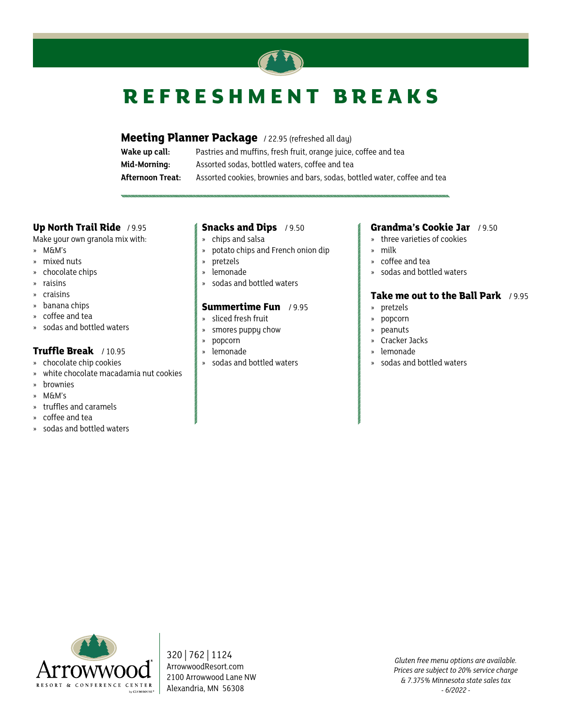

# **REFRESHMENT BREAKS**

**Meeting Planner Package** / 22.95 (refreshed all day)

| Wake up call:    | Pastries and muffins, fresh fruit, orange juice, coffee and tea           |
|------------------|---------------------------------------------------------------------------|
| Mid-Morning:     | Assorted sodas, bottled waters, coffee and tea                            |
| Afternoon Treat: | Assorted cookies, brownies and bars, sodas, bottled water, coffee and tea |

# **Up North Trail Ride** / 9.95

Make your own granola mix with:

- » M&M's
- » mixed nuts
- » chocolate chips
- » raisins
- » craisins
- » banana chips
- » coffee and tea
- » sodas and bottled waters

# **Truffle Break** / 10.95

- » chocolate chip cookies
- » white chocolate macadamia nut cookies
- » brownies
- » M&M's
- » truffles and caramels
- » coffee and tea
- » sodas and bottled waters

### **Snacks and Dips** / 9.50

- » chips and salsa
- » potato chips and French onion dip
- » pretzels
- » lemonade
- » sodas and bottled waters

# **Summertime Fun** / 9.95

- » sliced fresh fruit
- » smores puppy chow
- » popcorn
- » lemonade
- » sodas and bottled waters

# **Grandma's Cookie Jar** / 9.50

- » three varieties of cookies
- » milk
- » coffee and tea
- » sodas and bottled waters

# **Take me out to the Ball Park** / 9.95

- » pretzels
- » popcorn
- » peanuts
- » Cracker Jacks
- » lemonade
- » sodas and bottled waters



320 | 762 | 1124 ArrowwoodResort.com 2100 Arrowwood Lane NW Alexandria, MN 56308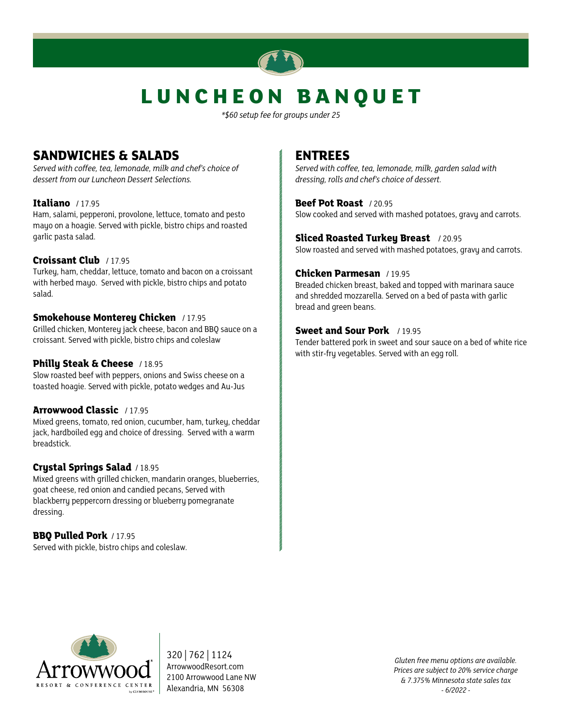

# **LUNCHEON BANQUET**

*\*\$60 setup fee for groups under 25*

# **SANDWICHES & SALADS**

*Served with coffee, tea, lemonade, milk and chef's choice of dessert from our Luncheon Dessert Selections.*

# **Italiano** / 17.95

Ham, salami, pepperoni, provolone, lettuce, tomato and pesto mayo on a hoagie. Served with pickle, bistro chips and roasted garlic pasta salad.

# **Croissant Club** / 17.95

Turkey, ham, cheddar, lettuce, tomato and bacon on a croissant with herbed mayo. Served with pickle, bistro chips and potato salad.

# **Smokehouse Monterey Chicken** / 17.95

Grilled chicken, Monterey jack cheese, bacon and BBQ sauce on a croissant. Served with pickle, bistro chips and coleslaw

# **Philly Steak & Cheese** / 18.95

Slow roasted beef with peppers, onions and Swiss cheese on a toasted hoagie. Served with pickle, potato wedges and Au-Jus

# **Arrowwood Classic** / 17.95

Mixed greens, tomato, red onion, cucumber, ham, turkey, cheddar jack, hardboiled egg and choice of dressing. Served with a warm breadstick.

# **Crystal Springs Salad** / 18.95

Mixed greens with grilled chicken, mandarin oranges, blueberries, goat cheese, red onion and candied pecans, Served with blackberry peppercorn dressing or blueberry pomegranate dressing.

# **BBQ Pulled Pork** / 17.95

Served with pickle, bistro chips and coleslaw.

# **ENTREES**

*Served with coffee, tea, lemonade, milk, garden salad with dressing, rolls and chef's choice of dessert.*

**Beef Pot Roast** / 20.95 Slow cooked and served with mashed potatoes, gravy and carrots.

**Sliced Roasted Turkey Breast** / 20.95 Slow roasted and served with mashed potatoes, gravy and carrots.

# **Chicken Parmesan** / 19.95

Breaded chicken breast, baked and topped with marinara sauce and shredded mozzarella. Served on a bed of pasta with garlic bread and green beans.

# **Sweet and Sour Pork** / 19.95

Tender battered pork in sweet and sour sauce on a bed of white rice with stir-fry vegetables. Served with an egg roll.



320 | 762 | 1124 ArrowwoodResort.com 2100 Arrowwood Lane NW Alexandria, MN 56308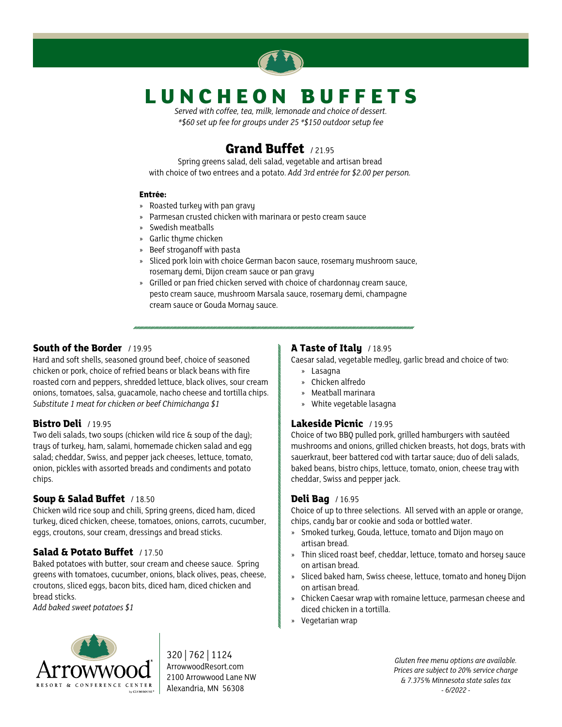

# **LUNCHEON BUFFETS**

*Served with coffee, tea, milk, lemonade and choice of dessert. \*\$60 set up fee for groups under 25 \*\$150 outdoor setup fee*

# **Grand Buffet** / 21.95

Spring greens salad, deli salad, vegetable and artisan bread with choice of two entrees and a potato. *Add 3rd entrée for \$2.00 per person.*

### **Entrée:**

- » Roasted turkey with pan gravy
- » Parmesan crusted chicken with marinara or pesto cream sauce
- » Swedish meatballs
- » Garlic thyme chicken
- » Beef stroganoff with pasta
- » Sliced pork loin with choice German bacon sauce, rosemary mushroom sauce, rosemary demi, Dijon cream sauce or pan gravy
- » Grilled or pan fried chicken served with choice of chardonnay cream sauce, pesto cream sauce, mushroom Marsala sauce, rosemary demi, champagne cream sauce or Gouda Mornay sauce.

# **South of the Border** / 19.95

Hard and soft shells, seasoned ground beef, choice of seasoned chicken or pork, choice of refried beans or black beans with fire roasted corn and peppers, shredded lettuce, black olives, sour cream onions, tomatoes, salsa, guacamole, nacho cheese and tortilla chips. *Substitute 1 meat for chicken or beef Chimichanga \$1*

# **Bistro Deli** / 19.95

Two deli salads, two soups (chicken wild rice & soup of the day); trays of turkey, ham, salami, homemade chicken salad and egg salad; cheddar, Swiss, and pepper jack cheeses, lettuce, tomato, onion, pickles with assorted breads and condiments and potato chips.

# **Soup & Salad Buffet** / 18.50

Chicken wild rice soup and chili, Spring greens, diced ham, diced turkey, diced chicken, cheese, tomatoes, onions, carrots, cucumber, eggs, croutons, sour cream, dressings and bread sticks.

# **Salad & Potato Buffet** / 17.50

Baked potatoes with butter, sour cream and cheese sauce. Spring greens with tomatoes, cucumber, onions, black olives, peas, cheese, croutons, sliced eggs, bacon bits, diced ham, diced chicken and bread sticks.

*Add baked sweet potatoes \$1*

# **A Taste of Italy** / 18.95

Caesar salad, vegetable medley, garlic bread and choice of two:

- » Lasagna
- » Chicken alfredo
- » Meatball marinara
- » White vegetable lasagna

# **Lakeside Picnic** / 19.95

Choice of two BBQ pulled pork, grilled hamburgers with sautéed mushrooms and onions, grilled chicken breasts, hot dogs, brats with sauerkraut, beer battered cod with tartar sauce; duo of deli salads, baked beans, bistro chips, lettuce, tomato, onion, cheese tray with cheddar, Swiss and pepper jack.

# **Deli Bag** / 16.95

Choice of up to three selections. All served with an apple or orange, chips, candy bar or cookie and soda or bottled water.

- » Smoked turkey, Gouda, lettuce, tomato and Dijon mayo on artisan bread.
- » Thin sliced roast beef, cheddar, lettuce, tomato and horsey sauce on artisan bread.
- » Sliced baked ham, Swiss cheese, lettuce, tomato and honey Dijon on artisan bread.
- » Chicken Caesar wrap with romaine lettuce, parmesan cheese and diced chicken in a tortilla.
- » Vegetarian wrap



320 | 762 | 1124 ArrowwoodResort.com 2100 Arrowwood Lane NW Alexandria, MN 56308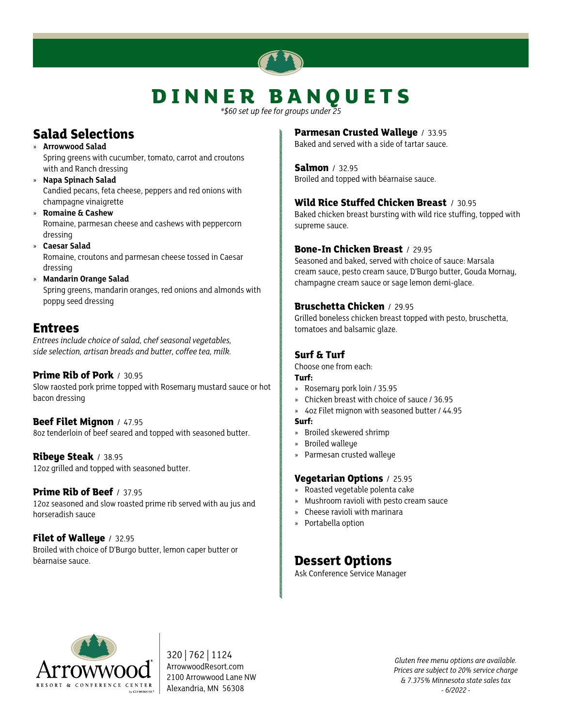# **DINNER BANQUETS**

*\*\$60 set up fee for groups under 25*

# **Salad Selections**

- » **Arrowwood Salad** Spring greens with cucumber, tomato, carrot and croutons with and Ranch dressing
- » **Napa Spinach Salad** Candied pecans, feta cheese, peppers and red onions with champagne vinaigrette
- » **Romaine & Cashew** Romaine, parmesan cheese and cashews with peppercorn dressing
- » **Caesar Salad** Romaine, croutons and parmesan cheese tossed in Caesar dressing
- » **Mandarin Orange Salad** Spring greens, mandarin oranges, red onions and almonds with poppy seed dressing

# **Entrees**

*Entrees include choice of salad, chef seasonal vegetables, side selection, artisan breads and butter, coffee tea, milk.*

# **Prime Rib of Pork** / 30.95

Slow raosted pork prime topped with Rosemary mustard sauce or hot bacon dressing

**Beef Filet Mignon** / 47.95 8oz tenderloin of beef seared and topped with seasoned butter.

**Ribeye Steak** / 38.95 12oz grilled and topped with seasoned butter.

# **Prime Rib of Beef** / 37.95

12oz seasoned and slow roasted prime rib served with au jus and horseradish sauce

# **Filet of Walleye** / 32.95

Broiled with choice of D'Burgo butter, lemon caper butter or béarnaise sauce.

# **Parmesan Crusted Walleye** / 33.95

Baked and served with a side of tartar sauce.

**Salmon** / 32.95 Broiled and topped with béarnaise sauce.

# **Wild Rice Stuffed Chicken Breast** / 30.95

Baked chicken breast bursting with wild rice stuffing, topped with supreme sauce.

# **Bone-In Chicken Breast** / 29.95

Seasoned and baked, served with choice of sauce: Marsala cream sauce, pesto cream sauce, D'Burgo butter, Gouda Mornay, champagne cream sauce or sage lemon demi-glace.

# **Bruschetta Chicken** / 29.95

Grilled boneless chicken breast topped with pesto, bruschetta, tomatoes and balsamic glaze.

# **Surf & Turf**

Choose one from each:

- **Turf:**
- » Rosemary pork loin / 35.95
- » Chicken breast with choice of sauce / 36.95
- » 4oz Filet mignon with seasoned butter / 44.95
- **Surf:**
- » Broiled skewered shrimp
- » Broiled walleye
- » Parmesan crusted walleye

# **Vegetarian Options** / 25.95

- » Roasted vegetable polenta cake
- » Mushroom ravioli with pesto cream sauce
- » Cheese ravioli with marinara
- » Portabella option

# **Dessert Options**

Ask Conference Service Manager



320 | 762 | 1124 ArrowwoodResort.com 2100 Arrowwood Lane NW Alexandria, MN 56308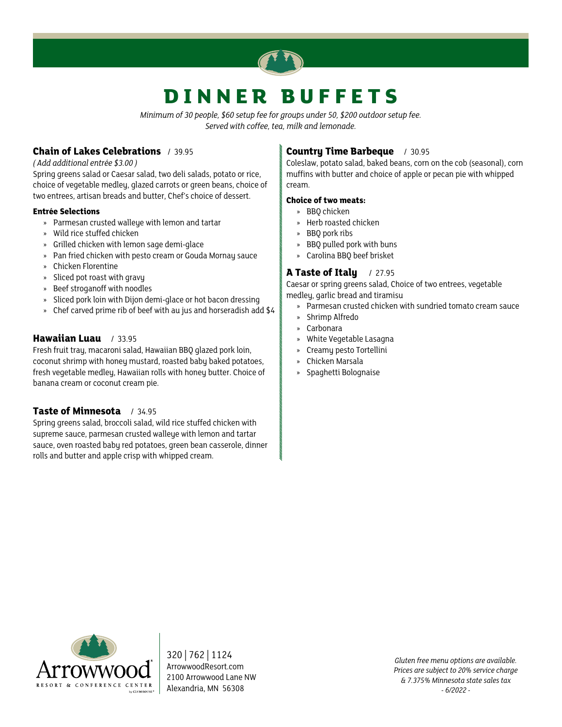

# **DINNER BUFFETS**

*Minimum of 30 people, \$60 setup fee for groups under 50, \$200 outdoor setup fee. Served with coffee, tea, milk and lemonade.*

# **Chain of Lakes Celebrations** / 39.95

*( Add additional entrée \$3.00 )*

Spring greens salad or Caesar salad, two deli salads, potato or rice, choice of vegetable medley, glazed carrots or green beans, choice of two entrees, artisan breads and butter, Chef's choice of dessert.

### **Entrée Selections**

- » Parmesan crusted walleye with lemon and tartar
- » Wild rice stuffed chicken
- » Grilled chicken with lemon sage demi-glace
- » Pan fried chicken with pesto cream or Gouda Mornay sauce
- » Chicken Florentine
- » Sliced pot roast with gravy
- » Beef stroganoff with noodles
- » Sliced pork loin with Dijon demi-glace or hot bacon dressing
- » Chef carved prime rib of beef with au jus and horseradish add \$4

# **Hawaiian Luau** / 33.95

Fresh fruit tray, macaroni salad, Hawaiian BBQ glazed pork loin, coconut shrimp with honey mustard, roasted baby baked potatoes, fresh vegetable medley, Hawaiian rolls with honey butter. Choice of banana cream or coconut cream pie.

# **Taste of Minnesota** / 34.95

Spring greens salad, broccoli salad, wild rice stuffed chicken with supreme sauce, parmesan crusted walleye with lemon and tartar sauce, oven roasted baby red potatoes, green bean casserole, dinner rolls and butter and apple crisp with whipped cream.

# **Country Time Barbeque** / 30.95

Coleslaw, potato salad, baked beans, corn on the cob (seasonal), corn muffins with butter and choice of apple or pecan pie with whipped cream.

### **Choice of two meats:**

- » BBQ chicken
- » Herb roasted chicken
- » BBQ pork ribs
- » BBQ pulled pork with buns
- » Carolina BBQ beef brisket

# **A Taste of Italy** / 27.95

Caesar or spring greens salad, Choice of two entrees, vegetable medley, garlic bread and tiramisu

- » Parmesan crusted chicken with sundried tomato cream sauce
- » Shrimp Alfredo
- » Carbonara
- » White Vegetable Lasagna
- » Creamy pesto Tortellini
- » Chicken Marsala
- » Spaghetti Bolognaise



320 | 762 | 1124 ArrowwoodResort.com 2100 Arrowwood Lane NW Alexandria, MN 56308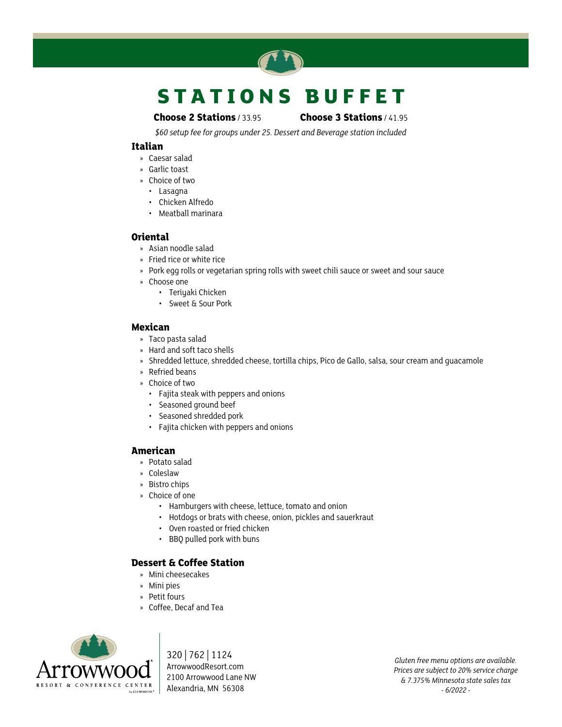

# **S T A T I O N S B U F F E T**

### **Choose 2 Stations** / 33.95 **Choose 3 Stations** / 41.95

*\$60 setup fee for groups under 25. Dessert and Beverage station included*

### **Italian**

- » Caesar salad
- » Garlic toast
- » Choice of two
- • Lasagna
- • Chicken Alfredo
- • Meatball marinara

### **Oriental**

- » Asian noodle salad
- » Fried rice or white rice
- » Pork egg rolls or vegetarian spring rolls with sweet chili sauce or sweet and sour sauce
- » Choose one
	- • Teriyaki Chicken
	- • Sweet & Sour Pork

### **Mexican**

- » Taco pasta salad
- » Hard and soft taco shells
- » Shredded lettuce, shredded cheese, tortilla chips, Pico de Gallo, salsa, sour cream and guacamole
- » Refried beans
- » Choice of two
	- • Fajita steak with peppers and onions
	- • Seasoned ground beef
	- • Seasoned shredded pork
	- • Fajita chicken with peppers and onions

# **American**

- » Potato salad
- » Coleslaw
- » Bistro chips
- » Choice of one
	- • Hamburgers with cheese, lettuce, tomato and onion
	- • Hotdogs or brats with cheese, onion, pickles and sauerkraut
	- Oven roasted or fried chicken
	- • BBQ pulled pork with buns

# **Dessert & Coffee Station**

- » Mini cheesecakes
- » Mini pies
- » Petit fours
- » Coffee, Decaf and Tea



320 | 762 | 1124 ArrowwoodResort.com 2100 Arrowwood Lane NW Alexandria, MN 56308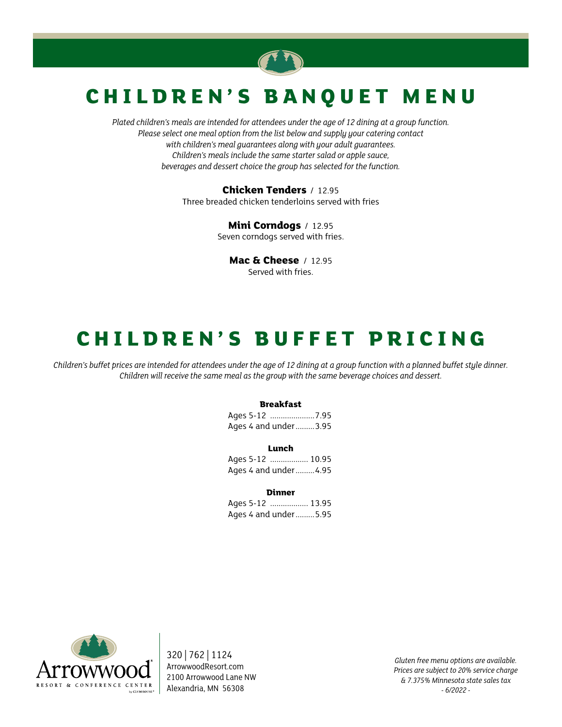

# **C H I L D R E N ' S B A N Q U E T M E N U**

*Plated children's meals are intended for attendees under the age of 12 dining at a group function. Please select one meal option from the list below and supply your catering contact with children's meal guarantees along with your adult guarantees. Children's meals include the same starter salad or apple sauce, beverages and dessert choice the group has selected for the function.*

> **Chicken Tenders** / 12.95 Three breaded chicken tenderloins served with fries

> > **Mini Corndogs** / 12.95 Seven corndogs served with fries.

> > > **Mac & Cheese** / 12.95 Served with fries.

# **C H I L D R E N ' S B U F F E T P R I C I N G**

*Children's buffet prices are intended for attendees under the age of 12 dining at a group function with a planned buffet style dinner. Children will receive the same meal as the group with the same beverage choices and dessert.*

#### **Breakfast**

Ages 5-12 .....................7.95 Ages 4 and under.........3.95

#### **Lunch**

Ages 5-12 .................. 10.95 Ages 4 and under.........4.95

#### **Dinner**

Ages 5-12 .................. 13.95 Ages 4 and under.........5.95



320 | 762 | 1124 ArrowwoodResort.com 2100 Arrowwood Lane NW Alexandria, MN 56308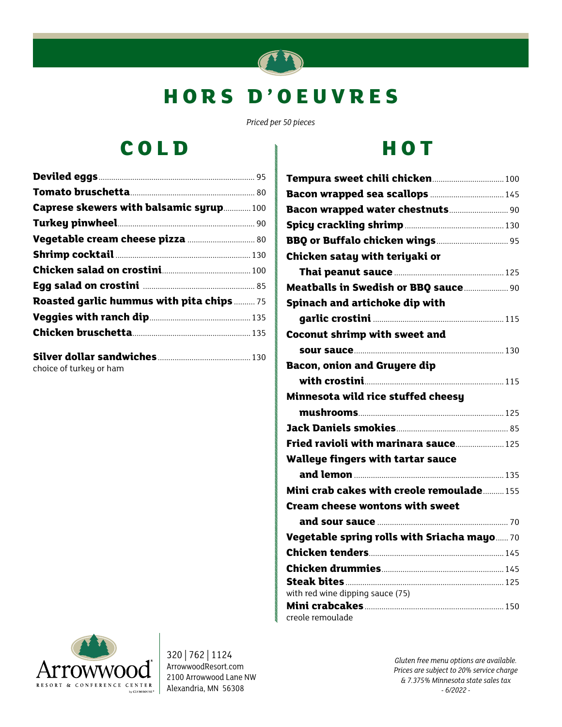

# **H O R S D ' O E U V R E S**

*Priced per 50 pieces*

# **COLD**

| Caprese skewers with balsamic syrup100           |  |
|--------------------------------------------------|--|
|                                                  |  |
|                                                  |  |
|                                                  |  |
|                                                  |  |
|                                                  |  |
| <b>Roasted garlic hummus with pita chips  75</b> |  |
|                                                  |  |
|                                                  |  |
| choice of turkey or ham                          |  |

# **HOT**

| Tempura sweet chili chicken 100             |  |
|---------------------------------------------|--|
| Bacon wrapped sea scallops  145             |  |
|                                             |  |
|                                             |  |
|                                             |  |
| Chicken satay with teriyaki or              |  |
|                                             |  |
| <b>Meatballs in Swedish or BBQ sauce 90</b> |  |
| Spinach and artichoke dip with              |  |
|                                             |  |
| <b>Coconut shrimp with sweet and</b>        |  |
|                                             |  |
| <b>Bacon, onion and Gruyere dip</b>         |  |
|                                             |  |
| Minnesota wild rice stuffed cheesy          |  |
|                                             |  |
|                                             |  |
| Fried ravioli with marinara sauce 125       |  |
| <b>Walleye fingers with tartar sauce</b>    |  |
|                                             |  |
| Mini crab cakes with creole remoulade 155   |  |
| <b>Cream cheese wontons with sweet</b>      |  |
|                                             |  |
| Vegetable spring rolls with Sriacha mayo 70 |  |
|                                             |  |
|                                             |  |
|                                             |  |
| with red wine dipping sauce (75)            |  |
|                                             |  |
| creole remoulade                            |  |



320 | 762 | 1124 ArrowwoodResort.com 2100 Arrowwood Lane NW Alexandria, MN 56308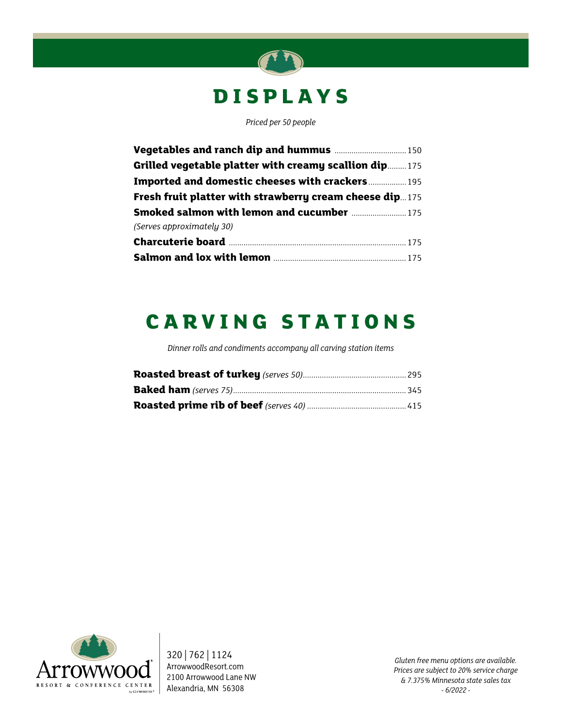# **DISPLAYS**

*Priced per 50 people*

| Grilled vegetable platter with creamy scallion dip175          |  |
|----------------------------------------------------------------|--|
| <b>Imported and domestic cheeses with crackers  195</b>        |  |
| <b>Fresh fruit platter with strawberry cream cheese dip175</b> |  |
| <b>Smoked salmon with lemon and cucumber  175</b>              |  |
| (Serves approximately 30)                                      |  |
|                                                                |  |
|                                                                |  |

# **C A R V I N G S T A T I O N S**

*Dinner rolls and condiments accompany all carving station items*



320 | 762 | 1124 ArrowwoodResort.com 2100 Arrowwood Lane NW Alexandria, MN 56308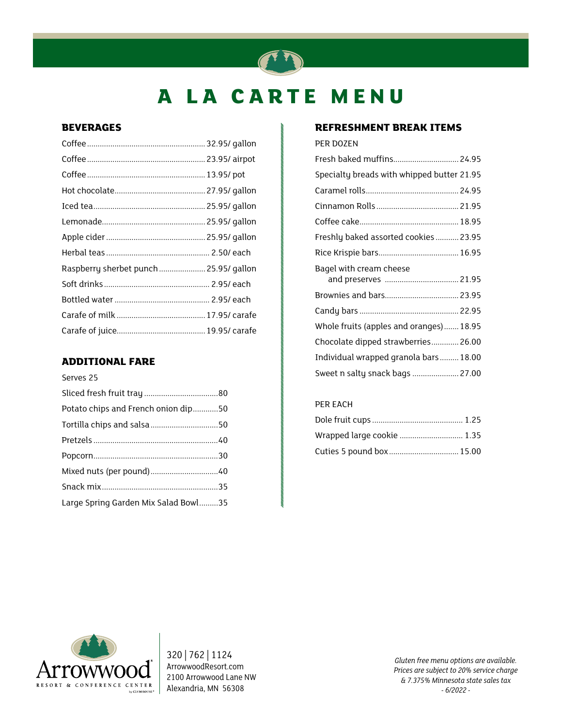# **A LA CARTE MENU**

# **BEVERAGES**

| Raspberry sherbet punch  25.95/ gallon |  |
|----------------------------------------|--|
|                                        |  |
|                                        |  |
|                                        |  |
|                                        |  |

# **ADDITIONAL FARE**

Serves 25

| Potato chips and French onion dip50  |  |
|--------------------------------------|--|
|                                      |  |
|                                      |  |
|                                      |  |
|                                      |  |
|                                      |  |
| Large Spring Garden Mix Salad Bowl35 |  |

# **REFRESHMENT BREAK ITEMS**

### PER DOZEN

| Fresh baked muffins 24.95                  |
|--------------------------------------------|
| Specialty breads with whipped butter 21.95 |
|                                            |
|                                            |
|                                            |
| Freshly baked assorted cookies  23.95      |
|                                            |
| Bagel with cream cheese                    |
| Brownies and bars 23.95                    |
|                                            |
| Whole fruits (apples and oranges) 18.95    |
| Chocolate dipped strawberries 26.00        |
| Individual wrapped granola bars 18.00      |
| Sweet n salty snack bags  27.00            |

# PER EACH

| Wrapped large cookie  1.35 |  |
|----------------------------|--|
|                            |  |



320 | 762 | 1124 ArrowwoodResort.com 2100 Arrowwood Lane NW Alexandria, MN 56308